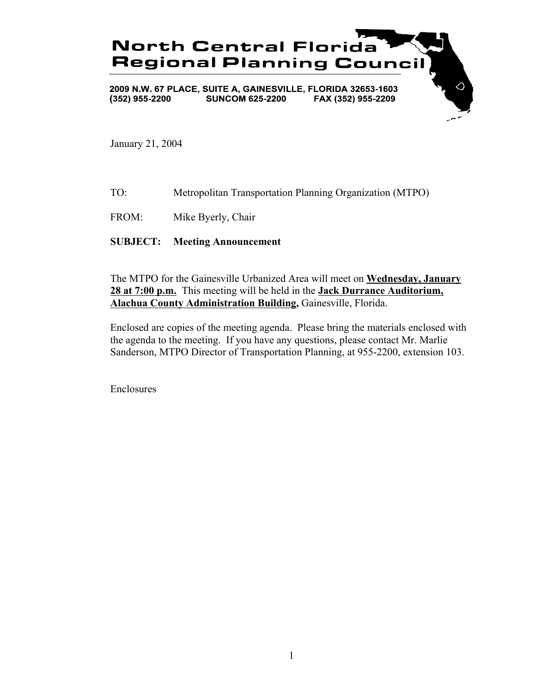

January 21, 2004

TO: Metropolitan Transportation Planning Organization (MTPO)

FROM: Mike Byerly, Chair

**SUBJECT: Meeting Announcement**

The MTPO for the Gainesville Urbanized Area will meet on **Wednesday, January 28 at 7:00 p.m.** This meeting will be held in the **Jack Durrance Auditorium, Alachua County Administration Building,** Gainesville, Florida.

Enclosed are copies of the meeting agenda. Please bring the materials enclosed with the agenda to the meeting. If you have any questions, please contact Mr. Marlie Sanderson, MTPO Director of Transportation Planning, at 955-2200, extension 103.

Enclosures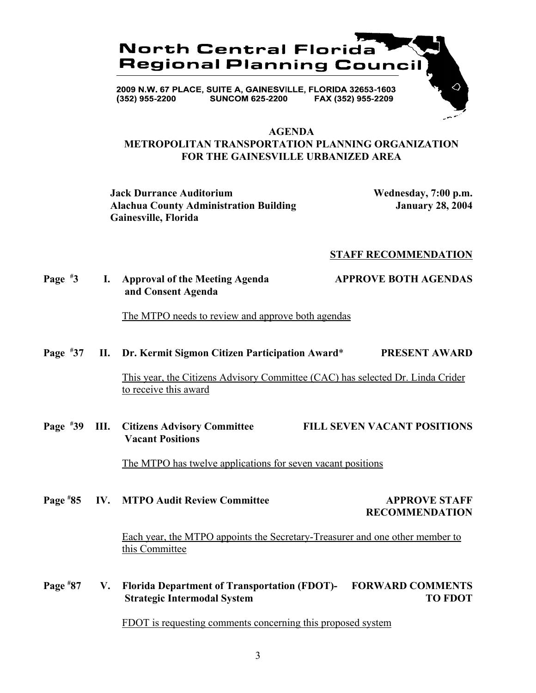

### **AGENDA METROPOLITAN TRANSPORTATION PLANNING ORGANIZATION FOR THE GAINESVILLE URBANIZED AREA**

**Jack Durrance Auditorium Wednesday, 7:00 p.m. Alachua County Administration Building January 28, 2004 Gainesville, Florida**

### **STAFF RECOMMENDATION**

### **Page # 3 I. Approval of the Meeting Agenda APPROVE BOTH AGENDAS and Consent Agenda**

The MTPO needs to review and approve both agendas

#### **Page # 37 II. Dr. Kermit Sigmon Citizen Participation Award**\* **PRESENT AWARD**

This year, the Citizens Advisory Committee (CAC) has selected Dr. Linda Crider to receive this award

**Page # 39 III. Citizens Advisory Committee FILL SEVEN VACANT POSITIONS Vacant Positions**

The MTPO has twelve applications for seven vacant positions

**Page # IV. MTPO Audit Review Committee APPROVE STAFF RECOMMENDATION**

> Each year, the MTPO appoints the Secretary-Treasurer and one other member to this Committee

**Page # 87 V. Florida Department of Transportation (FDOT)- FORWARD COMMENTS Strategic Intermodal System TO FDOT** 

FDOT is requesting comments concerning this proposed system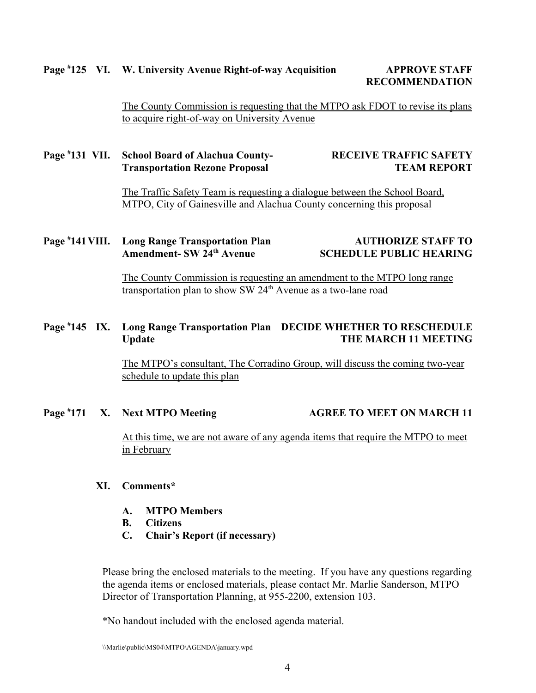### **Page # 125 VI. W. University Avenue Right-of-way Acquisition APPROVE STAFF**

**RECOMMENDATION**

The County Commission is requesting that the MTPO ask FDOT to revise its plans to acquire right-of-way on University Avenue

### **Page # 131 VII. School Board of Alachua County- RECEIVE TRAFFIC SAFETY Transportation Rezone Proposal TEAM REPORT**

The Traffic Safety Team is requesting a dialogue between the School Board, MTPO, City of Gainesville and Alachua County concerning this proposal

### **Page # 141 Long Range Transportation Plan 414 AUTHORIZE STAFF TO** Amendment- SW 24<sup>th</sup> Avenue SCHEDULE PUBLIC HEARING

The County Commission is requesting an amendment to the MTPO long range transportation plan to show SW 24<sup>th</sup> Avenue as a two-lane road

### **Page # 145 IX. Long Range Transportation Plan DECIDE WHETHER TO RESCHEDULE** Update **THE MARCH 11 MEETING**

The MTPO's consultant, The Corradino Group, will discuss the coming two-year schedule to update this plan

#### **Page # 171 X. Next MTPO Meeting AGREE TO MEET ON MARCH 11**

At this time, we are not aware of any agenda items that require the MTPO to meet in February

### **XI. Comments\***

- **A. MTPO Members**
- **B. Citizens**
- **C. Chair's Report (if necessary)**

Please bring the enclosed materials to the meeting. If you have any questions regarding the agenda items or enclosed materials, please contact Mr. Marlie Sanderson, MTPO Director of Transportation Planning, at 955-2200, extension 103.

\*No handout included with the enclosed agenda material.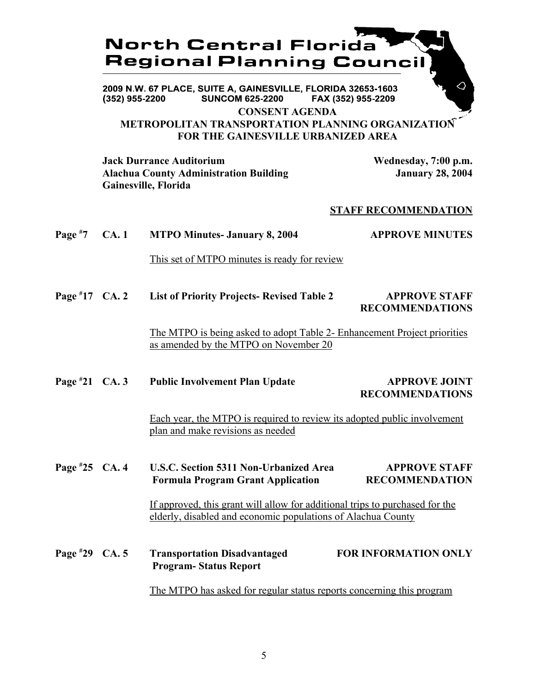# **North Central Florida Regional Planning Counci**

2009 N.W. 67 PLACE, SUITE A, GAINESVILLE, FLORIDA 32653-1603 **SUNCOM 625-2200**  $(352)$  955-2200 FAX (352) 955-2209

**CONSENT AGENDA**

### **METROPOLITAN TRANSPORTATION PLANNING ORGANIZATION FOR THE GAINESVILLE URBANIZED AREA**

**Jack Durrance Auditorium Wednesday, 7:00 p.m. Alachua County Administration Building January 28, 2004 Gainesville, Florida**

### **STAFF RECOMMENDATION**

| Page $*7$        | CA.1 | <b>MTPO Minutes- January 8, 2004</b>                                                                                                         | <b>APPROVE MINUTES</b>                         |
|------------------|------|----------------------------------------------------------------------------------------------------------------------------------------------|------------------------------------------------|
|                  |      | This set of MTPO minutes is ready for review                                                                                                 |                                                |
| Page $*17$ CA. 2 |      | <b>List of Priority Projects- Revised Table 2</b>                                                                                            | <b>APPROVE STAFF</b><br><b>RECOMMENDATIONS</b> |
|                  |      | The MTPO is being asked to adopt Table 2- Enhancement Project priorities<br>as amended by the MTPO on November 20                            |                                                |
| Page $*21$ CA. 3 |      | <b>Public Involvement Plan Update</b>                                                                                                        | <b>APPROVE JOINT</b><br><b>RECOMMENDATIONS</b> |
|                  |      | Each year, the MTPO is required to review its adopted public involvement<br>plan and make revisions as needed                                |                                                |
| Page $*25$ CA. 4 |      | <b>U.S.C. Section 5311 Non-Urbanized Area</b><br><b>Formula Program Grant Application</b>                                                    | <b>APPROVE STAFF</b><br><b>RECOMMENDATION</b>  |
|                  |      | If approved, this grant will allow for additional trips to purchased for the<br>elderly, disabled and economic populations of Alachua County |                                                |
| Page $*29$ CA. 5 |      | <b>Transportation Disadvantaged</b><br><b>Program-Status Report</b>                                                                          | <b>FOR INFORMATION ONLY</b>                    |
|                  |      | The MTPO has asked for regular status reports concerning this program                                                                        |                                                |